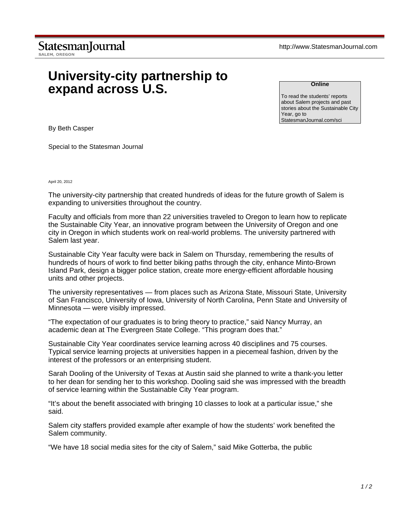## **University-city partnership to expand across U.S.**

**Online**

To read the students' reports about Salem projects and past stories about the Sustainable City Year, go to StatesmanJournal.com/sci

By Beth Casper

Special to the Statesman Journal

## April 20, 2012

The university-city partnership that created hundreds of ideas for the future growth of Salem is expanding to universities throughout the country.

Faculty and officials from more than 22 universities traveled to Oregon to learn how to replicate the Sustainable City Year, an innovative program between the University of Oregon and one city in Oregon in which students work on real-world problems. The university partnered with Salem last year.

Sustainable City Year faculty were back in Salem on Thursday, remembering the results of hundreds of hours of work to find better biking paths through the city, enhance Minto-Brown Island Park, design a bigger police station, create more energy-efficient affordable housing units and other projects.

The university representatives — from places such as Arizona State, Missouri State, University of San Francisco, University of Iowa, University of North Carolina, Penn State and University of Minnesota — were visibly impressed.

"The expectation of our graduates is to bring theory to practice," said Nancy Murray, an academic dean at The Evergreen State College. "This program does that."

Sustainable City Year coordinates service learning across 40 disciplines and 75 courses. Typical service learning projects at universities happen in a piecemeal fashion, driven by the interest of the professors or an enterprising student.

Sarah Dooling of the University of Texas at Austin said she planned to write a thank-you letter to her dean for sending her to this workshop. Dooling said she was impressed with the breadth of service learning within the Sustainable City Year program.

"It's about the benefit associated with bringing 10 classes to look at a particular issue," she said.

Salem city staffers provided example after example of how the students' work benefited the Salem community.

"We have 18 social media sites for the city of Salem," said Mike Gotterba, the public